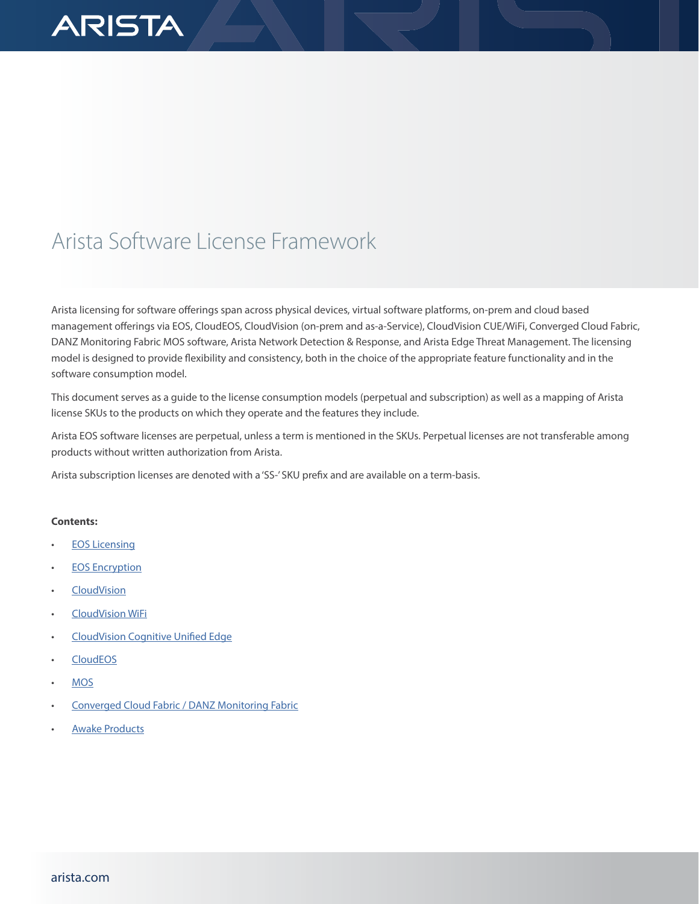# **ARISTA**

# Arista Software License Framework

Arista licensing for software offerings span across physical devices, virtual software platforms, on-prem and cloud based management offerings via EOS, CloudEOS, CloudVision (on-prem and as-a-Service), CloudVision CUE/WiFi, Converged Cloud Fabric, DANZ Monitoring Fabric MOS software, Arista Network Detection & Response, and Arista Edge Threat Management. The licensing model is designed to provide flexibility and consistency, both in the choice of the appropriate feature functionality and in the software consumption model.

This document serves as a guide to the license consumption models (perpetual and subscription) as well as a mapping of Arista license SKUs to the products on which they operate and the features they include.

Arista EOS software licenses are perpetual, unless a term is mentioned in the SKUs. Perpetual licenses are not transferable among products without written authorization from Arista.

Arista subscription licenses are denoted with a 'SS-' SKU prefix and are available on a term-basis.

# **Contents:**

- **[EOS Licensing](https://docs.google.com/document/d/1wrrdovghPuGz8UxtjpkV9FjUjCxkqW_ZHqsLAgyghRA/edit#bookmark=id.u94qg8h4u8om)**
- [EOS Encryption](https://docs.google.com/document/d/1wrrdovghPuGz8UxtjpkV9FjUjCxkqW_ZHqsLAgyghRA/edit#bookmark=id.1fob9te)
- [CloudVision](https://docs.google.com/document/d/1wrrdovghPuGz8UxtjpkV9FjUjCxkqW_ZHqsLAgyghRA/edit#bookmark=id.2et92p0)
- [CloudVision WiFi](https://docs.google.com/document/d/1wrrdovghPuGz8UxtjpkV9FjUjCxkqW_ZHqsLAgyghRA/edit#bookmark=id.bax1k0txjsev)
- [CloudVision Cognitive Unified Edge](https://docs.google.com/document/d/1wrrdovghPuGz8UxtjpkV9FjUjCxkqW_ZHqsLAgyghRA/edit#bookmark=kix.rsv0fwt749gn)
- [CloudEOS](https://docs.google.com/document/d/1wrrdovghPuGz8UxtjpkV9FjUjCxkqW_ZHqsLAgyghRA/edit#bookmark=id.lgpxsx18fvsl)
- [MOS](https://docs.google.com/document/d/1wrrdovghPuGz8UxtjpkV9FjUjCxkqW_ZHqsLAgyghRA/edit#bookmark=id.3dy6vkm)
- [Converged Cloud Fabric / DANZ Monitoring Fabric](https://docs.google.com/document/d/1wrrdovghPuGz8UxtjpkV9FjUjCxkqW_ZHqsLAgyghRA/edit#bookmark=id.mlzzr01u3mou)
- **[Awake Products](https://docs.google.com/document/d/1wrrdovghPuGz8UxtjpkV9FjUjCxkqW_ZHqsLAgyghRA/edit#bookmark=id.1sudxxkiq46g)**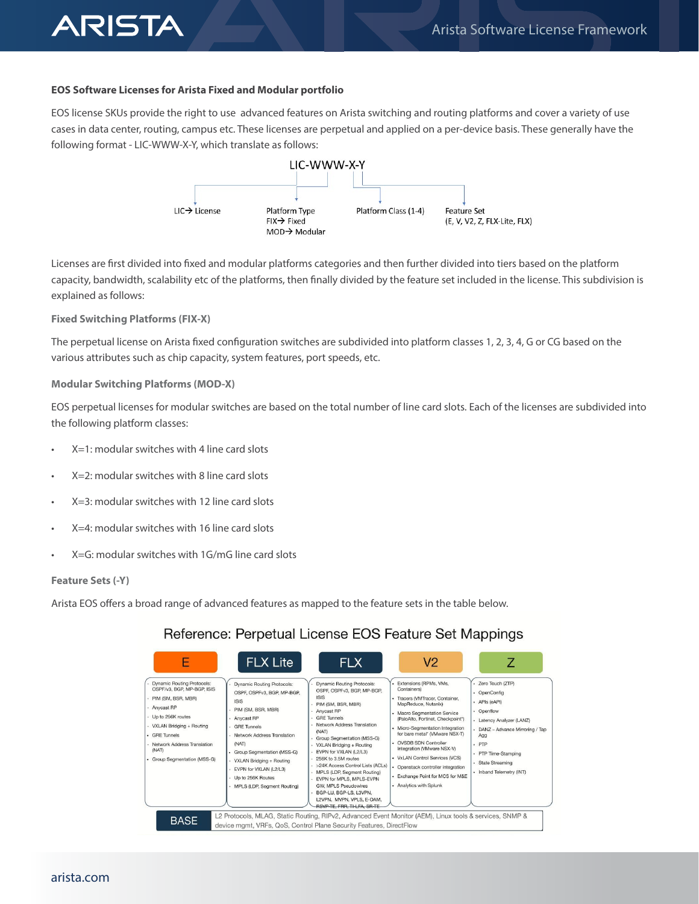# **EOS Software Licenses for Arista Fixed and Modular portfolio**

EOS license SKUs provide the right to use advanced features on Arista switching and routing platforms and cover a variety of use cases in data center, routing, campus etc. These licenses are perpetual and applied on a per-device basis. These generally have the following format - LIC-WWW-X-Y, which translate as follows:



Licenses are first divided into fixed and modular platforms categories and then further divided into tiers based on the platform capacity, bandwidth, scalability etc of the platforms, then finally divided by the feature set included in the license. This subdivision is explained as follows:

# **Fixed Switching Platforms (FIX-X)**

**ARISTA** 

The perpetual license on Arista fixed configuration switches are subdivided into platform classes 1, 2, 3, 4, G or CG based on the various attributes such as chip capacity, system features, port speeds, etc.

#### **Modular Switching Platforms (MOD-X)**

EOS perpetual licenses for modular switches are based on the total number of line card slots. Each of the licenses are subdivided into the following platform classes:

- X=1: modular switches with 4 line card slots
- X=2: modular switches with 8 line card slots
- X=3: modular switches with 12 line card slots
- X=4: modular switches with 16 line card slots
- X=G: modular switches with 1G/mG line card slots

#### **Feature Sets (-Y)**

Arista EOS offers a broad range of advanced features as mapped to the feature sets in the table below.

# Reference: Perpetual License EOS Feature Set Mappings

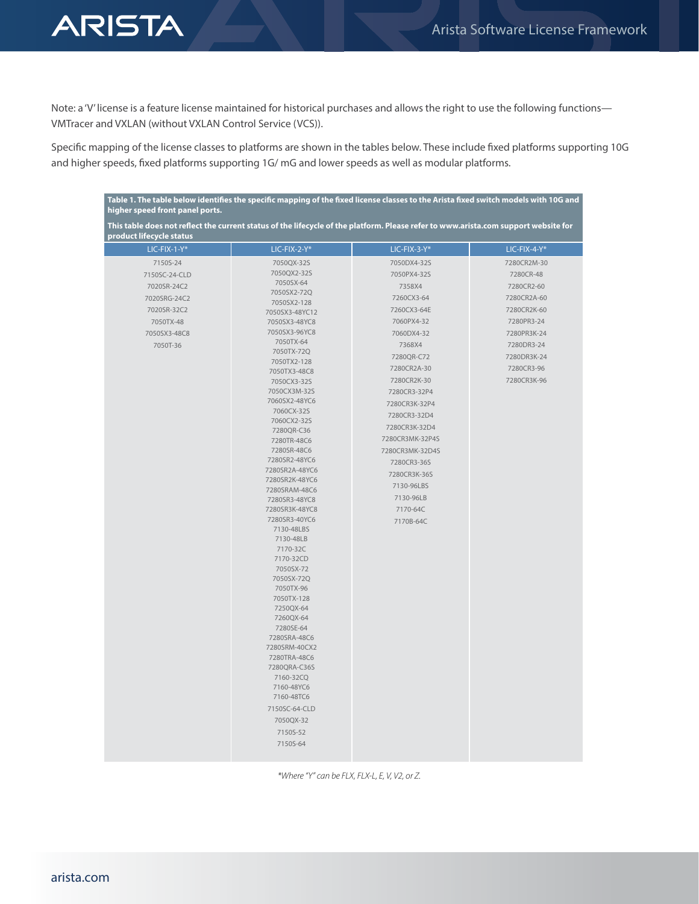

Note: a 'V' license is a feature license maintained for historical purchases and allows the right to use the following functions— VMTracer and VXLAN (without VXLAN Control Service (VCS)).

Specific mapping of the license classes to platforms are shown in the tables below. These include fixed platforms supporting 10G and higher speeds, fixed platforms supporting 1G/ mG and lower speeds as well as modular platforms.

| Table 1. The table below identifies the specific mapping of the fixed license classes to the Arista fixed switch models with 10G and<br>higher speed front panel ports. |                            |                 |              |
|-------------------------------------------------------------------------------------------------------------------------------------------------------------------------|----------------------------|-----------------|--------------|
| This table does not reflect the current status of the lifecycle of the platform. Please refer to www.arista.com support website for<br>product lifecycle status         |                            |                 |              |
| LIC-FIX-1-Y*                                                                                                                                                            | $LIC-FIX-2-Y*$             | LIC-FIX-3-Y*    | LIC-FIX-4-Y* |
| 7150S-24                                                                                                                                                                | 7050QX-32S                 | 7050DX4-32S     | 7280CR2M-30  |
| 7150SC-24-CLD                                                                                                                                                           | 7050QX2-32S                | 7050PX4-32S     | 7280CR-48    |
| 7020SR-24C2                                                                                                                                                             | 7050SX-64                  | 7358X4          | 7280CR2-60   |
| 7020SRG-24C2                                                                                                                                                            | 7050SX2-72Q                | 7260CX3-64      | 7280CR2A-60  |
| 7020SR-32C2                                                                                                                                                             | 7050SX2-128                | 7260CX3-64E     | 7280CR2K-60  |
|                                                                                                                                                                         | 7050SX3-48YC12             | 7060PX4-32      | 7280PR3-24   |
| 7050TX-48                                                                                                                                                               | 7050SX3-48YC8              |                 |              |
| 7050SX3-48C8                                                                                                                                                            | 7050SX3-96YC8<br>7050TX-64 | 7060DX4-32      | 7280PR3K-24  |
| 7050T-36                                                                                                                                                                | 7050TX-72Q                 | 7368X4          | 7280DR3-24   |
|                                                                                                                                                                         | 7050TX2-128                | 7280QR-C72      | 7280DR3K-24  |
|                                                                                                                                                                         | 7050TX3-48C8               | 7280CR2A-30     | 7280CR3-96   |
|                                                                                                                                                                         | 7050CX3-32S                | 7280CR2K-30     | 7280CR3K-96  |
|                                                                                                                                                                         | 7050CX3M-32S               | 7280CR3-32P4    |              |
|                                                                                                                                                                         | 7060SX2-48YC6              | 7280CR3K-32P4   |              |
|                                                                                                                                                                         | 7060CX-32S                 | 7280CR3-32D4    |              |
|                                                                                                                                                                         | 7060CX2-32S                | 7280CR3K-32D4   |              |
|                                                                                                                                                                         | 7280QR-C36                 | 7280CR3MK-32P4S |              |
|                                                                                                                                                                         | 7280TR-48C6<br>7280SR-48C6 |                 |              |
|                                                                                                                                                                         | 7280SR2-48YC6              | 7280CR3MK-32D4S |              |
|                                                                                                                                                                         | 7280SR2A-48YC6             | 7280CR3-36S     |              |
|                                                                                                                                                                         | 7280SR2K-48YC6             | 7280CR3K-36S    |              |
|                                                                                                                                                                         | 7280SRAM-48C6              | 7130-96LBS      |              |
|                                                                                                                                                                         | 7280SR3-48YC8              | 7130-96LB       |              |
|                                                                                                                                                                         | 7280SR3K-48YC8             | 7170-64C        |              |
|                                                                                                                                                                         | 7280SR3-40YC6              | 7170B-64C       |              |
|                                                                                                                                                                         | 7130-48LBS                 |                 |              |
|                                                                                                                                                                         | 7130-48LB                  |                 |              |
|                                                                                                                                                                         | 7170-32C                   |                 |              |
|                                                                                                                                                                         | 7170-32CD                  |                 |              |
|                                                                                                                                                                         | 7050SX-72<br>7050SX-72Q    |                 |              |
|                                                                                                                                                                         | 7050TX-96                  |                 |              |
|                                                                                                                                                                         | 7050TX-128                 |                 |              |
|                                                                                                                                                                         | 7250QX-64                  |                 |              |
|                                                                                                                                                                         | 7260QX-64                  |                 |              |
|                                                                                                                                                                         | 7280SE-64                  |                 |              |
|                                                                                                                                                                         | 7280SRA-48C6               |                 |              |
|                                                                                                                                                                         | 7280SRM-40CX2              |                 |              |
|                                                                                                                                                                         | 7280TRA-48C6               |                 |              |
|                                                                                                                                                                         | 7280QRA-C36S               |                 |              |
|                                                                                                                                                                         | 7160-32CQ                  |                 |              |
|                                                                                                                                                                         | 7160-48YC6<br>7160-48TC6   |                 |              |
|                                                                                                                                                                         |                            |                 |              |
|                                                                                                                                                                         | 7150SC-64-CLD              |                 |              |
|                                                                                                                                                                         | 7050QX-32                  |                 |              |
|                                                                                                                                                                         | 7150S-52                   |                 |              |
|                                                                                                                                                                         | 7150S-64                   |                 |              |
|                                                                                                                                                                         |                            |                 |              |

*\*Where "Y" can be FLX, FLX-L, E, V, V2, or Z.*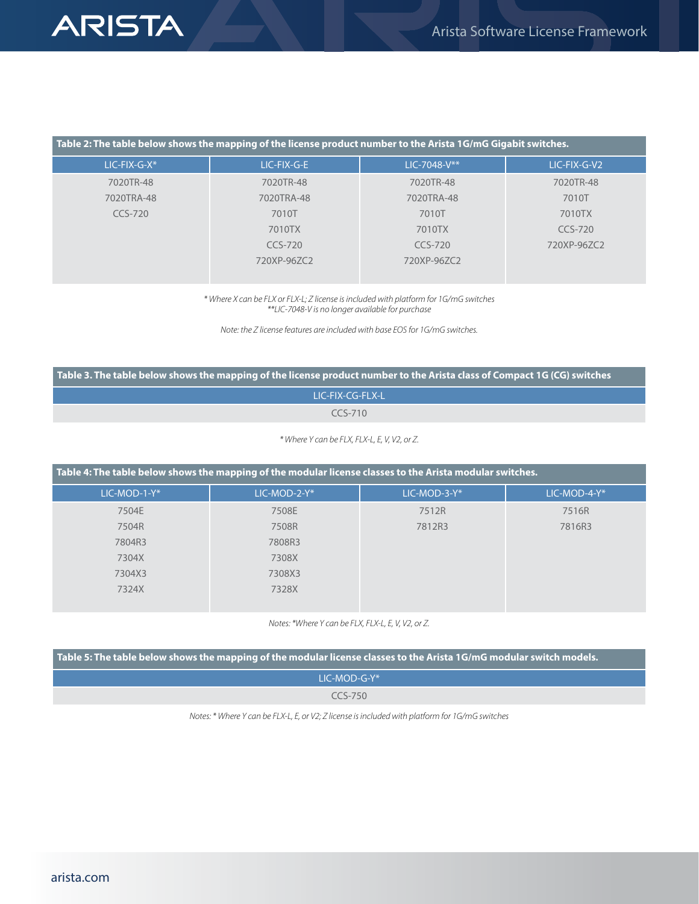# **ARISTA**

| Table 2: The table below shows the mapping of the license product number to the Arista 1G/mG Gigabit switches. |             |              |              |
|----------------------------------------------------------------------------------------------------------------|-------------|--------------|--------------|
| $LIC-FIX-G-X*$                                                                                                 | LIC-FIX-G-E | LIC-7048-V** | LIC-FIX-G-V2 |
| 7020TR-48                                                                                                      | 7020TR-48   | 7020TR-48    | 7020TR-48    |
| 7020TRA-48                                                                                                     | 7020TRA-48  | 7020TRA-48   | 7010T        |
| $CCS-720$                                                                                                      | 7010T       | 7010T        | 7010TX       |
|                                                                                                                | 7010TX      | 7010TX       | CCS-720      |
|                                                                                                                | $CCS-720$   | CCS-720      | 720XP-96ZC2  |
|                                                                                                                | 720XP-96ZC2 | 720XP-96ZC2  |              |
|                                                                                                                |             |              |              |

*\* Where X can be FLX or FLX-L; Z license is included with platform for 1G/mG switches \*\*LIC-7048-V is no longer available for purchase*

*Note: the Z license features are included with base EOS for 1G/mG switches.*

**Table 3. The table below shows the mapping of the license product number to the Arista class of Compact 1G (CG) switches**

LIC-FIX-CG-FLX-L

CCS-710

*\* Where Y can be FLX, FLX-L, E, V, V2, or Z.*

| Table 4: The table below shows the mapping of the modular license classes to the Arista modular switches. |              |              |              |
|-----------------------------------------------------------------------------------------------------------|--------------|--------------|--------------|
| LIC-MOD-1-Y*                                                                                              | LIC-MOD-2-Y* | LIC-MOD-3-Y* | LIC-MOD-4-Y* |
| 7504E                                                                                                     | 7508E        | 7512R        | 7516R        |
| 7504R                                                                                                     | 7508R        | 7812R3       | 7816R3       |
| 7804R3                                                                                                    | 7808R3       |              |              |
| 7304X                                                                                                     | 7308X        |              |              |
| 7304X3                                                                                                    | 7308X3       |              |              |
| 7324X                                                                                                     | 7328X        |              |              |

*Notes: \*Where Y can be FLX, FLX-L, E, V, V2, or Z.*

| Table 5: The table below shows the mapping of the modular license classes to the Arista 1G/mG modular switch models. |  |
|----------------------------------------------------------------------------------------------------------------------|--|
| $IC-MOD-G-Y^*$                                                                                                       |  |
| $CCS-750$                                                                                                            |  |

*Notes: \* Where Y can be FLX-L, E, or V2; Z license is included with platform for 1G/mG switches*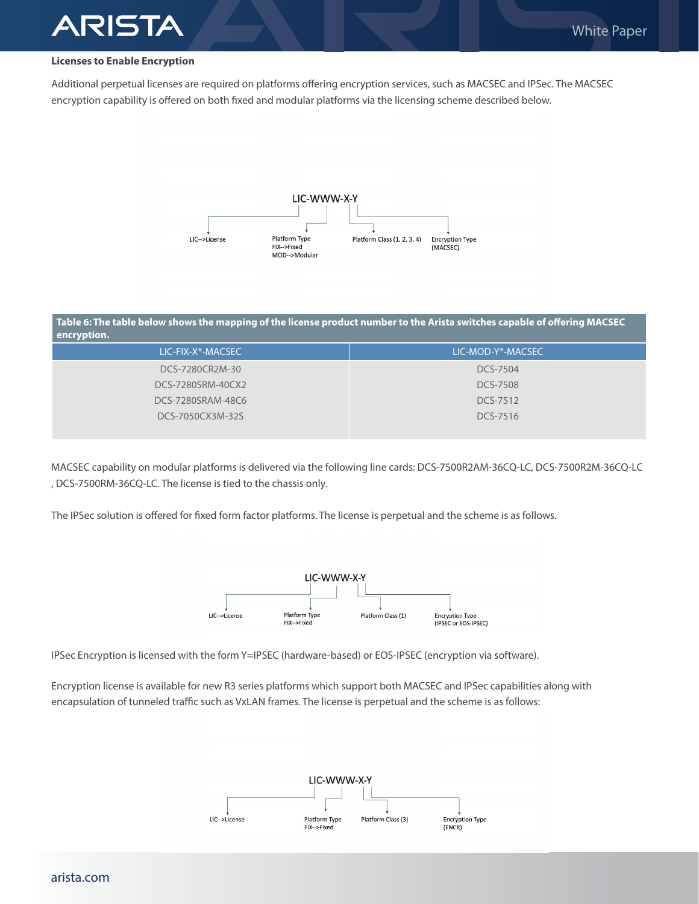# **Licenses to Enable Encryption**

RISTA

Additional perpetual licenses are required on platforms offering encryption services, such as MACSEC and IPSec. The MACSEC encryption capability is offered on both fixed and modular platforms via the licensing scheme described below.



#### **Table 6: The table below shows the mapping of the license product number to the Arista switches capable of offering MACSEC encryption.**

| LIC-FIX-X*-MACSEC | LIC-MOD-Y*-MACSEC |
|-------------------|-------------------|
| DCS-7280CR2M-30   | DCS-7504          |
| DCS-7280SRM-40CX2 | <b>DCS-7508</b>   |
| DCS-7280SRAM-48C6 | DCS-7512          |
| DCS-7050CX3M-32S  | DCS-7516          |
|                   |                   |

MACSEC capability on modular platforms is delivered via the following line cards: DCS-7500R2AM-36CQ-LC, DCS-7500R2M-36CQ-LC , DCS-7500RM-36CQ-LC. The license is tied to the chassis only.

The IPSec solution is offered for fixed form factor platforms. The license is perpetual and the scheme is as follows.



IPSec Encryption is licensed with the form Y=IPSEC (hardware-based) or EOS-IPSEC (encryption via software).

Encryption license is available for new R3 series platforms which support both MACSEC and IPSec capabilities along with encapsulation of tunneled traffic such as VxLAN frames. The license is perpetual and the scheme is as follows:

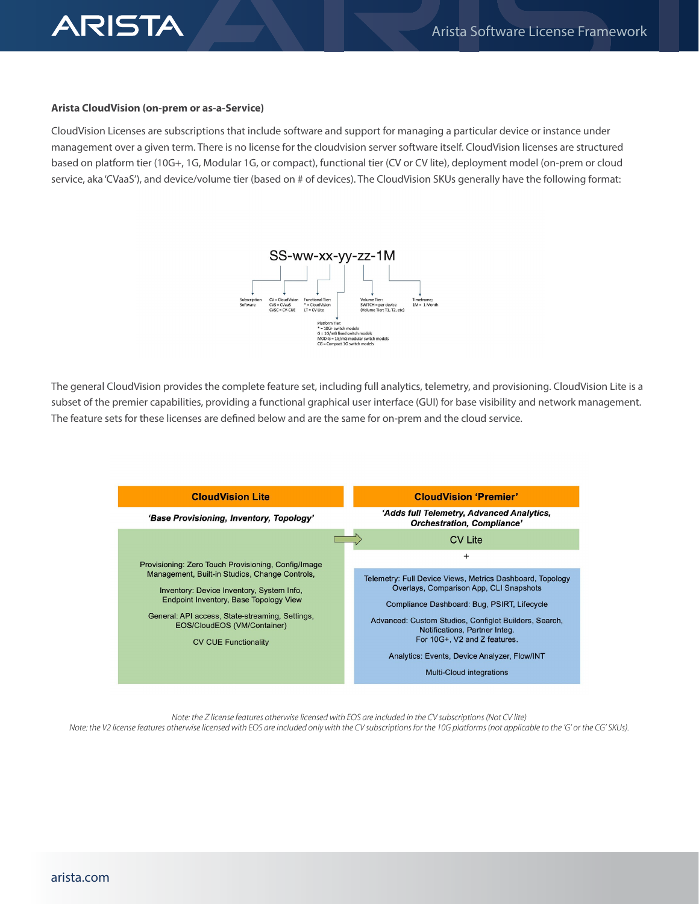

#### **Arista CloudVision (on-prem or as-a-Service)**

CloudVision Licenses are subscriptions that include software and support for managing a particular device or instance under management over a given term. There is no license for the cloudvision server software itself. CloudVision licenses are structured based on platform tier (10G+, 1G, Modular 1G, or compact), functional tier (CV or CV lite), deployment model (on-prem or cloud service, aka 'CVaaS'), and device/volume tier (based on # of devices). The CloudVision SKUs generally have the following format:



The general CloudVision provides the complete feature set, including full analytics, telemetry, and provisioning. CloudVision Lite is a subset of the premier capabilities, providing a functional graphical user interface (GUI) for base visibility and network management. The feature sets for these licenses are defined below and are the same for on-prem and the cloud service.



*Note: the Z license features otherwise licensed with EOS are included in the CV subscriptions (Not CV lite) Note: the V2 license features otherwise licensed with EOS are included only with the CV subscriptions for the 10G platforms (not applicable to the 'G' or the CG' SKUs).*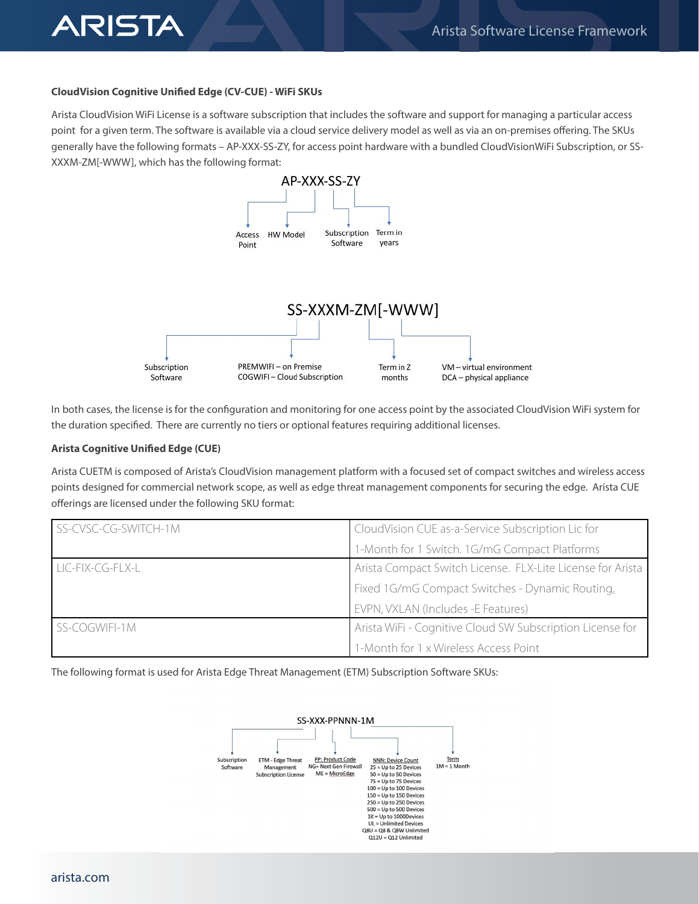# **CloudVision Cognitive Unified Edge (CV-CUE) - WiFi SKUs**

ARISTA

Arista CloudVision WiFi License is a software subscription that includes the software and support for managing a particular access point for a given term. The software is available via a cloud service delivery model as well as via an on-premises offering. The SKUs generally have the following formats – AP-XXX-SS-ZY, for access point hardware with a bundled CloudVisionWiFi Subscription, or SS-XXXM-ZM[-WWW], which has the following format:



In both cases, the license is for the configuration and monitoring for one access point by the associated CloudVision WiFi system for the duration specified. There are currently no tiers or optional features requiring additional licenses.

#### **Arista Cognitive Unified Edge (CUE)**

Arista CUETM is composed of Arista's CloudVision management platform with a focused set of compact switches and wireless access points designed for commercial network scope, as well as edge threat management components for securing the edge. Arista CUE offerings are licensed under the following SKU format:

| SS-CVSC-CG-SWITCH-1M | CloudVision CUE as-a-Service Subscription Lic for          |  |
|----------------------|------------------------------------------------------------|--|
|                      | 1-Month for 1 Switch. 1G/mG Compact Platforms              |  |
| LIC-FIX-CG-FLX-L     | Arista Compact Switch License. FLX-Lite License for Arista |  |
|                      | Fixed 1G/mG Compact Switches - Dynamic Routing,            |  |
|                      | EVPN, VXLAN (Includes -E Features)                         |  |
| <b>SS-COGWIFI-1M</b> | Arista WiFi - Cognitive Cloud SW Subscription License for  |  |
|                      | 1-Month for 1 x Wireless Access Point                      |  |

The following format is used for Arista Edge Threat Management (ETM) Subscription Software SKUs:

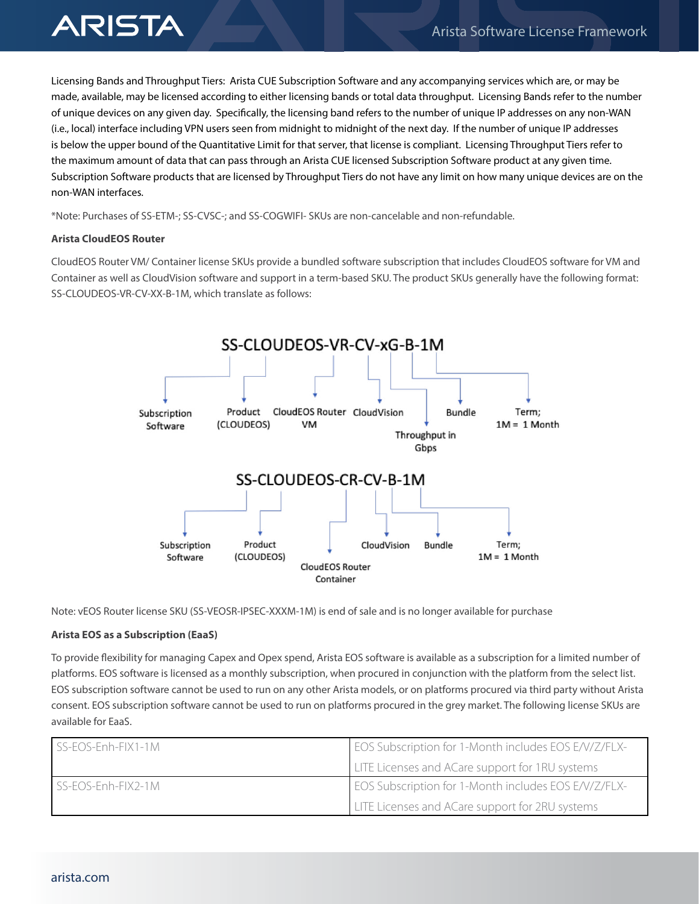Licensing Bands and Throughput Tiers: Arista CUE Subscription Software and any accompanying services which are, or may be made, available, may be licensed according to either licensing bands or total data throughput. Licensing Bands refer to the number of unique devices on any given day. Specifically, the licensing band refers to the number of unique IP addresses on any non-WAN (i.e., local) interface including VPN users seen from midnight to midnight of the next day. If the number of unique IP addresses is below the upper bound of the Quantitative Limit for that server, that license is compliant. Licensing Throughput Tiers refer to the maximum amount of data that can pass through an Arista CUE licensed Subscription Software product at any given time. Subscription Software products that are licensed by Throughput Tiers do not have any limit on how many unique devices are on the non-WAN interfaces.

\*Note: Purchases of SS-ETM-; SS-CVSC-; and SS-COGWIFI- SKUs are non-cancelable and non-refundable.

# **Arista CloudEOS Router**

CloudEOS Router VM/ Container license SKUs provide a bundled software subscription that includes CloudEOS software for VM and Container as well as CloudVision software and support in a term-based SKU. The product SKUs generally have the following format: SS-CLOUDEOS-VR-CV-XX-B-1M, which translate as follows:



Note: vEOS Router license SKU (SS-VEOSR-IPSEC-XXXM-1M) is end of sale and is no longer available for purchase

# **Arista EOS as a Subscription (EaaS)**

To provide flexibility for managing Capex and Opex spend, Arista EOS software is available as a subscription for a limited number of platforms. EOS software is licensed as a monthly subscription, when procured in conjunction with the platform from the select list. EOS subscription software cannot be used to run on any other Arista models, or on platforms procured via third party without Arista consent. EOS subscription software cannot be used to run on platforms procured in the grey market. The following license SKUs are available for EaaS.

| $\overline{\text{LSS-EOS-Enh-FIX1-1M}}$     | <b>EOS Subscription for 1-Month includes EOS E/V/Z/FLX-</b> |
|---------------------------------------------|-------------------------------------------------------------|
|                                             | LITE Licenses and ACare support for 1RU systems             |
| $\overline{\phantom{a}}$ SS-EOS-Enh-FIX2-1M | EOS Subscription for 1-Month includes EOS E/V/Z/FLX-        |
|                                             | LITE Licenses and ACare support for 2RU systems             |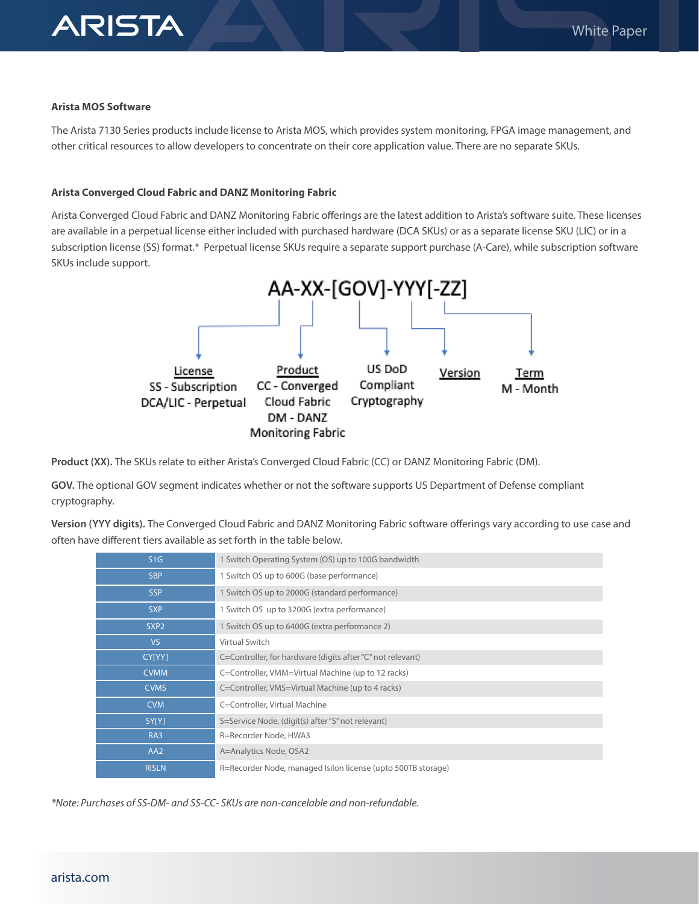

# **Arista MOS Software**

The Arista 7130 Series products include license to Arista MOS, which provides system monitoring, FPGA image management, and other critical resources to allow developers to concentrate on their core application value. There are no separate SKUs.

# **Arista Converged Cloud Fabric and DANZ Monitoring Fabric**

Arista Converged Cloud Fabric and DANZ Monitoring Fabric offerings are the latest addition to Arista's software suite. These licenses are available in a perpetual license either included with purchased hardware (DCA SKUs) or as a separate license SKU (LIC) or in a subscription license (SS) format.\* Perpetual license SKUs require a separate support purchase (A-Care), while subscription software SKUs include support.



**Product (XX).** The SKUs relate to either Arista's Converged Cloud Fabric (CC) or DANZ Monitoring Fabric (DM).

**GOV.** The optional GOV segment indicates whether or not the software supports US Department of Defense compliant cryptography.

**Version (YYY digits).** The Converged Cloud Fabric and DANZ Monitoring Fabric software offerings vary according to use case and often have different tiers available as set forth in the table below.

| S1G              | 1 Switch Operating System (OS) up to 100G bandwidth          |
|------------------|--------------------------------------------------------------|
| <b>SBP</b>       | 1 Switch OS up to 600G (base performance)                    |
| <b>SSP</b>       | 1 Switch OS up to 2000G (standard performance)               |
| <b>SXP</b>       | 1 Switch OS up to 3200G (extra performance)                  |
| SXP <sub>2</sub> | 1 Switch OS up to 6400G (extra performance 2)                |
| VS.              | Virtual Switch                                               |
| CY[YY]           | C=Controller, for hardware (digits after "C" not relevant)   |
| <b>CVMM</b>      | C=Controller, VMM=Virtual Machine (up to 12 racks)           |
| <b>CVMS</b>      | C=Controller, VMS=Virtual Machine (up to 4 racks)            |
| <b>CVM</b>       | C=Controller, Virtual Machine                                |
| SY[Y]            | S=Service Node, (digit(s) after "S" not relevant)            |
| RA3              | R=Recorder Node, HWA3                                        |
| AA <sub>2</sub>  | A=Analytics Node, OSA2                                       |
| <b>RISLN</b>     | R=Recorder Node, managed Isilon license (upto 500TB storage) |

*\*Note: Purchases of SS-DM- and SS-CC- SKUs are non-cancelable and non-refundable.*